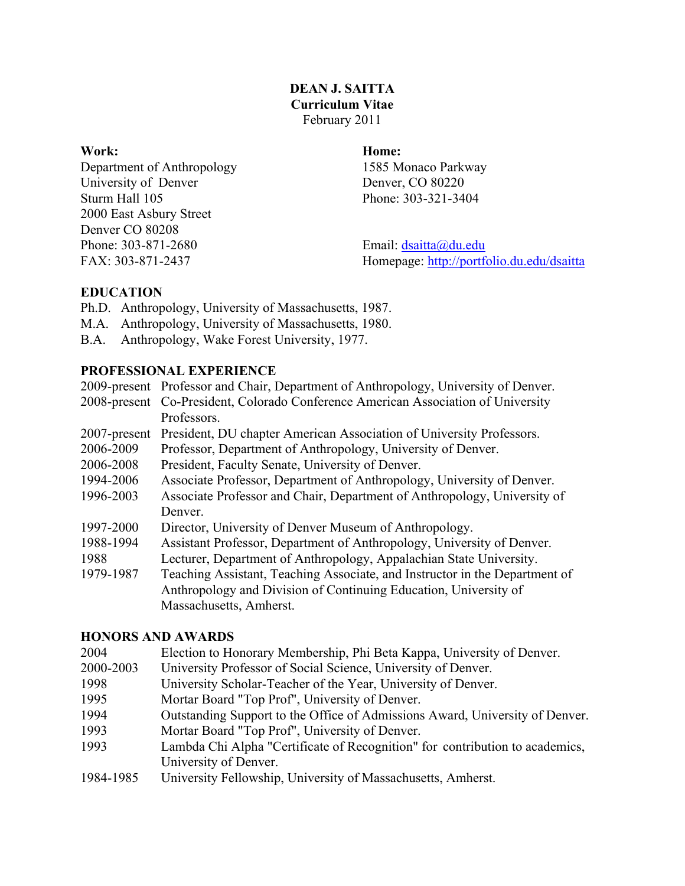## **DEAN J. SAITTA Curriculum Vitae** February 2011

Department of Anthropology 1585 Monaco Parkway University of Denver Denver, CO 80220 Sturm Hall 105 Phone: 303-321-3404 2000 East Asbury Street Denver CO 80208 Phone: 303-871-2680 Email: dsaitta@du.edu

# **Work: Home:**

FAX: 303-871-2437 Homepage: http://portfolio.du.edu/dsaitta

# **EDUCATION**

- Ph.D. Anthropology, University of Massachusetts, 1987.
- M.A. Anthropology, University of Massachusetts, 1980.
- B.A. Anthropology, Wake Forest University, 1977.

# **PROFESSIONAL EXPERIENCE**

2009-present Professor and Chair, Department of Anthropology, University of Denver.

- 2008-present Co-President, Colorado Conference American Association of University Professors.
- 2007-present President, DU chapter American Association of University Professors.
- 2006-2009 Professor, Department of Anthropology, University of Denver.
- 2006-2008 President, Faculty Senate, University of Denver.
- 1994-2006 Associate Professor, Department of Anthropology, University of Denver.
- 1996-2003 Associate Professor and Chair, Department of Anthropology, University of Denver.
- 1997-2000 Director, University of Denver Museum of Anthropology.
- 1988-1994 Assistant Professor, Department of Anthropology, University of Denver.
- 1988 Lecturer, Department of Anthropology, Appalachian State University.
- 1979-1987 Teaching Assistant, Teaching Associate, and Instructor in the Department of Anthropology and Division of Continuing Education, University of Massachusetts, Amherst.

# **HONORS AND AWARDS**

- 2004 Election to Honorary Membership, Phi Beta Kappa, University of Denver.
- 2000-2003 University Professor of Social Science, University of Denver.
- 1998 University Scholar-Teacher of the Year, University of Denver.
- 1995 Mortar Board "Top Prof", University of Denver.
- 1994 Outstanding Support to the Office of Admissions Award, University of Denver.
- 1993 Mortar Board "Top Prof", University of Denver.
- 1993 Lambda Chi Alpha "Certificate of Recognition" for contribution to academics, University of Denver.
- 1984-1985 University Fellowship, University of Massachusetts, Amherst.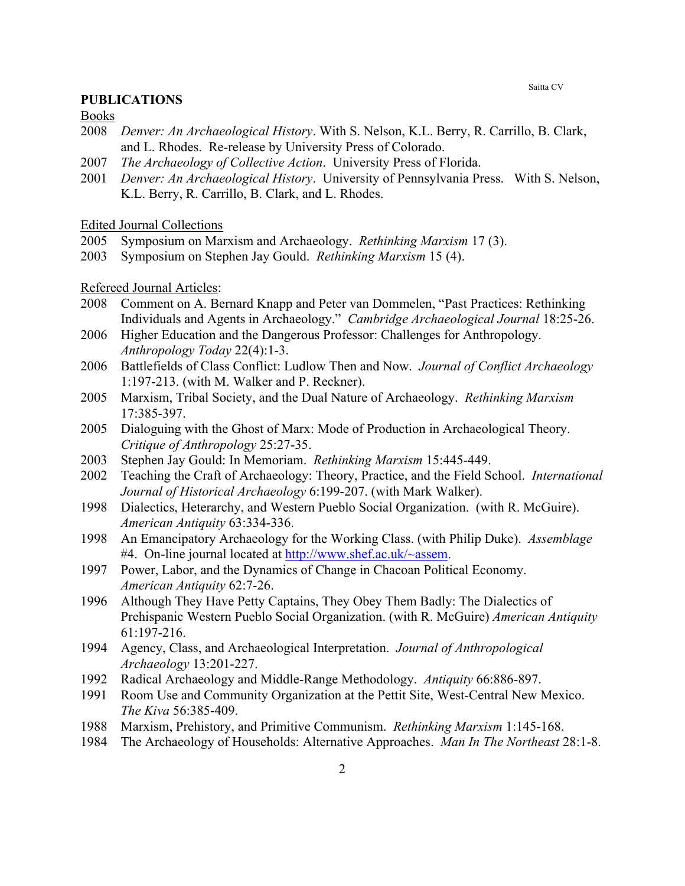#### **PUBLICATIONS**

Books

- 2008 *Denver: An Archaeological History*. With S. Nelson, K.L. Berry, R. Carrillo, B. Clark, and L. Rhodes. Re-release by University Press of Colorado.
- 2007 *The Archaeology of Collective Action*. University Press of Florida.
- 2001 *Denver: An Archaeological History*. University of Pennsylvania Press. With S. Nelson, K.L. Berry, R. Carrillo, B. Clark, and L. Rhodes.

Edited Journal Collections

- 2005 Symposium on Marxism and Archaeology. *Rethinking Marxism* 17 (3).
- 2003 Symposium on Stephen Jay Gould. *Rethinking Marxism* 15 (4).

Refereed Journal Articles:

- 2008 Comment on A. Bernard Knapp and Peter van Dommelen, "Past Practices: Rethinking Individuals and Agents in Archaeology." *Cambridge Archaeological Journal* 18:25-26.
- 2006 Higher Education and the Dangerous Professor: Challenges for Anthropology. *Anthropology Today* 22(4):1-3.
- 2006 Battlefields of Class Conflict: Ludlow Then and Now. *Journal of Conflict Archaeology* 1:197-213. (with M. Walker and P. Reckner).
- 2005 Marxism, Tribal Society, and the Dual Nature of Archaeology. *Rethinking Marxism* 17:385-397.
- 2005 Dialoguing with the Ghost of Marx: Mode of Production in Archaeological Theory. *Critique of Anthropology* 25:27-35.
- 2003 Stephen Jay Gould: In Memoriam. *Rethinking Marxism* 15:445-449.
- 2002 Teaching the Craft of Archaeology: Theory, Practice, and the Field School. *International Journal of Historical Archaeology* 6:199-207. (with Mark Walker).
- 1998 Dialectics, Heterarchy, and Western Pueblo Social Organization. (with R. McGuire). *American Antiquity* 63:334-336.
- 1998 An Emancipatory Archaeology for the Working Class. (with Philip Duke). *Assemblage* #4. On-line journal located at http://www.shef.ac.uk/~assem.
- 1997 Power, Labor, and the Dynamics of Change in Chacoan Political Economy. *American Antiquity* 62:7-26.
- 1996 Although They Have Petty Captains, They Obey Them Badly: The Dialectics of Prehispanic Western Pueblo Social Organization. (with R. McGuire) *American Antiquity* 61:197-216.
- 1994 Agency, Class, and Archaeological Interpretation. *Journal of Anthropological Archaeology* 13:201-227.
- 1992 Radical Archaeology and Middle-Range Methodology. *Antiquity* 66:886-897.
- 1991 Room Use and Community Organization at the Pettit Site, West-Central New Mexico. *The Kiva* 56:385-409.
- 1988 Marxism, Prehistory, and Primitive Communism. *Rethinking Marxism* 1:145-168.
- 1984 The Archaeology of Households: Alternative Approaches. *Man In The Northeast* 28:1-8.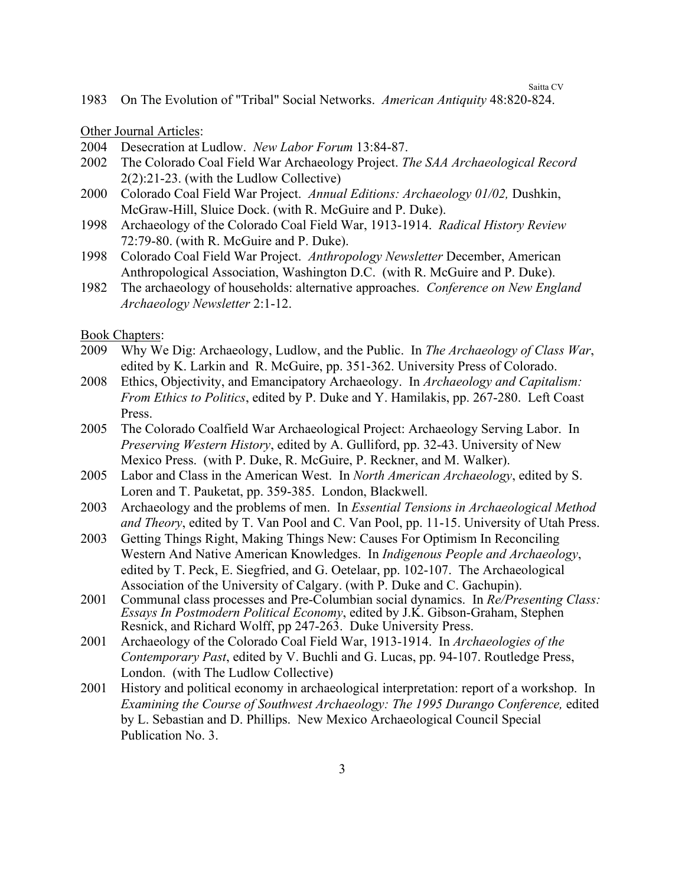1983 On The Evolution of "Tribal" Social Networks. *American Antiquity* 48:820-824.

Other Journal Articles:

- 2004 Desecration at Ludlow. *New Labor Forum* 13:84-87.
- 2002 The Colorado Coal Field War Archaeology Project. *The SAA Archaeological Record* 2(2):21-23. (with the Ludlow Collective)
- 2000 Colorado Coal Field War Project. *Annual Editions: Archaeology 01/02,* Dushkin, McGraw-Hill, Sluice Dock. (with R. McGuire and P. Duke).
- 1998 Archaeology of the Colorado Coal Field War, 1913-1914. *Radical History Review* 72:79-80. (with R. McGuire and P. Duke).
- 1998 Colorado Coal Field War Project. *Anthropology Newsletter* December, American Anthropological Association, Washington D.C. (with R. McGuire and P. Duke).
- 1982 The archaeology of households: alternative approaches. *Conference on New England Archaeology Newsletter* 2:1-12.

Book Chapters:

- 2009 Why We Dig: Archaeology, Ludlow, and the Public. In *The Archaeology of Class War*, edited by K. Larkin and R. McGuire, pp. 351-362. University Press of Colorado.
- 2008 Ethics, Objectivity, and Emancipatory Archaeology. In *Archaeology and Capitalism: From Ethics to Politics*, edited by P. Duke and Y. Hamilakis, pp. 267-280. Left Coast Press.
- 2005 The Colorado Coalfield War Archaeological Project: Archaeology Serving Labor. In *Preserving Western History*, edited by A. Gulliford, pp. 32-43. University of New Mexico Press. (with P. Duke, R. McGuire, P. Reckner, and M. Walker).
- 2005 Labor and Class in the American West. In *North American Archaeology*, edited by S. Loren and T. Pauketat, pp. 359-385. London, Blackwell.
- 2003 Archaeology and the problems of men. In *Essential Tensions in Archaeological Method and Theory*, edited by T. Van Pool and C. Van Pool, pp. 11-15. University of Utah Press.
- 2003 Getting Things Right, Making Things New: Causes For Optimism In Reconciling Western And Native American Knowledges. In *Indigenous People and Archaeology*, edited by T. Peck, E. Siegfried, and G. Oetelaar, pp. 102-107. The Archaeological Association of the University of Calgary. (with P. Duke and C. Gachupin).
- 2001 Communal class processes and Pre-Columbian social dynamics. In *Re/Presenting Class: Essays In Postmodern Political Economy*, edited by J.K. Gibson-Graham, Stephen Resnick, and Richard Wolff, pp 247-263. Duke University Press.
- 2001 Archaeology of the Colorado Coal Field War, 1913-1914. In *Archaeologies of the Contemporary Past*, edited by V. Buchli and G. Lucas, pp. 94-107. Routledge Press, London. (with The Ludlow Collective)
- 2001 History and political economy in archaeological interpretation: report of a workshop. In *Examining the Course of Southwest Archaeology: The 1995 Durango Conference,* edited by L. Sebastian and D. Phillips. New Mexico Archaeological Council Special Publication No. 3.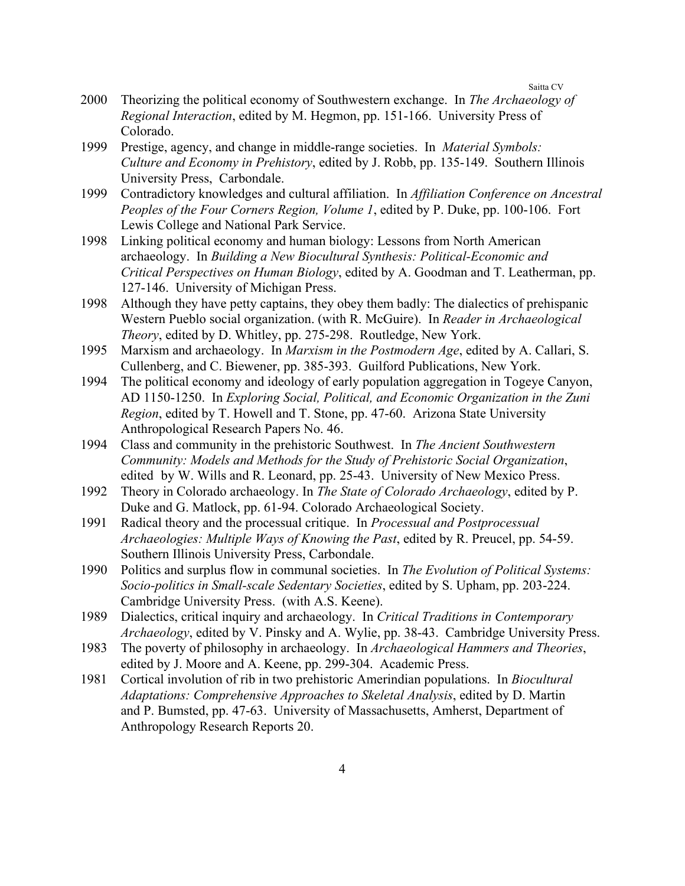- 2000 Theorizing the political economy of Southwestern exchange. In *The Archaeology of Regional Interaction*, edited by M. Hegmon, pp. 151-166. University Press of Colorado.
- 1999 Prestige, agency, and change in middle-range societies. In *Material Symbols: Culture and Economy in Prehistory*, edited by J. Robb, pp. 135-149. Southern Illinois University Press, Carbondale.
- 1999 Contradictory knowledges and cultural affiliation. In *Affiliation Conference on Ancestral Peoples of the Four Corners Region, Volume 1*, edited by P. Duke, pp. 100-106. Fort Lewis College and National Park Service.
- 1998 Linking political economy and human biology: Lessons from North American archaeology. In *Building a New Biocultural Synthesis: Political-Economic and Critical Perspectives on Human Biology*, edited by A. Goodman and T. Leatherman, pp. 127-146. University of Michigan Press.
- 1998 Although they have petty captains, they obey them badly: The dialectics of prehispanic Western Pueblo social organization. (with R. McGuire). In *Reader in Archaeological Theory*, edited by D. Whitley, pp. 275-298. Routledge, New York.
- 1995 Marxism and archaeology. In *Marxism in the Postmodern Age*, edited by A. Callari, S. Cullenberg, and C. Biewener, pp. 385-393. Guilford Publications, New York.
- 1994 The political economy and ideology of early population aggregation in Togeye Canyon, AD 1150-1250. In *Exploring Social, Political, and Economic Organization in the Zuni Region*, edited by T. Howell and T. Stone, pp. 47-60. Arizona State University Anthropological Research Papers No. 46.
- 1994 Class and community in the prehistoric Southwest. In *The Ancient Southwestern Community: Models and Methods for the Study of Prehistoric Social Organization*, edited by W. Wills and R. Leonard, pp. 25-43. University of New Mexico Press.
- 1992 Theory in Colorado archaeology. In *The State of Colorado Archaeology*, edited by P. Duke and G. Matlock, pp. 61-94. Colorado Archaeological Society.
- 1991 Radical theory and the processual critique. In *Processual and Postprocessual Archaeologies: Multiple Ways of Knowing the Past*, edited by R. Preucel, pp. 54-59. Southern Illinois University Press, Carbondale.
- 1990 Politics and surplus flow in communal societies. In *The Evolution of Political Systems: Socio-politics in Small-scale Sedentary Societies*, edited by S. Upham, pp. 203-224. Cambridge University Press. (with A.S. Keene).
- 1989 Dialectics, critical inquiry and archaeology. In *Critical Traditions in Contemporary Archaeology*, edited by V. Pinsky and A. Wylie, pp. 38-43. Cambridge University Press.
- 1983 The poverty of philosophy in archaeology. In *Archaeological Hammers and Theories*, edited by J. Moore and A. Keene, pp. 299-304. Academic Press.
- 1981 Cortical involution of rib in two prehistoric Amerindian populations. In *Biocultural Adaptations: Comprehensive Approaches to Skeletal Analysis*, edited by D. Martin and P. Bumsted, pp. 47-63. University of Massachusetts, Amherst, Department of Anthropology Research Reports 20.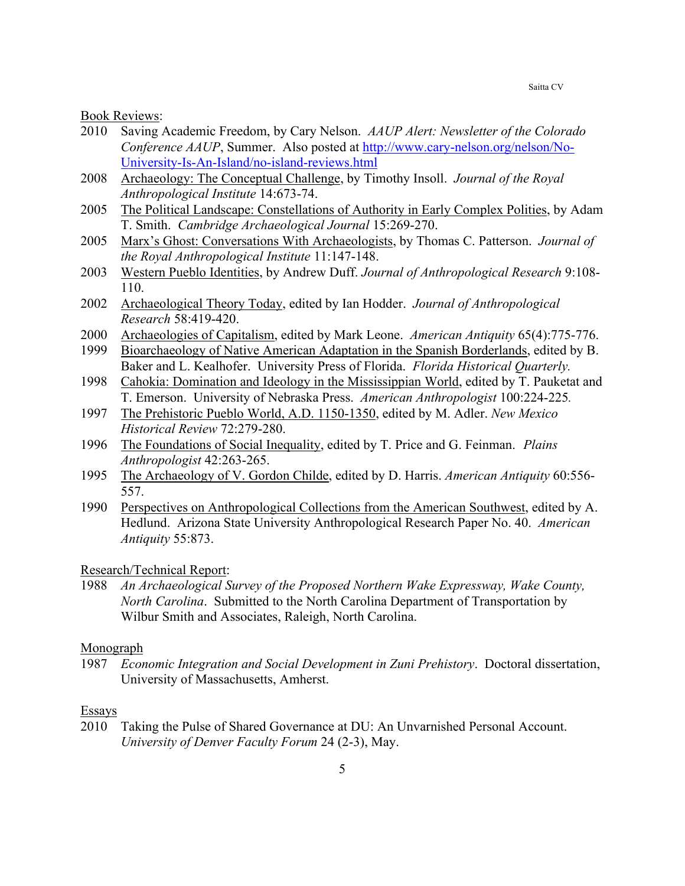Book Reviews:

- 2010 Saving Academic Freedom, by Cary Nelson. *AAUP Alert: Newsletter of the Colorado Conference AAUP*, Summer. Also posted at http://www.cary-nelson.org/nelson/No-University-Is-An-Island/no-island-reviews.html
- 2008 Archaeology: The Conceptual Challenge, by Timothy Insoll. *Journal of the Royal Anthropological Institute* 14:673-74.
- 2005 The Political Landscape: Constellations of Authority in Early Complex Polities, by Adam T. Smith. *Cambridge Archaeological Journal* 15:269-270.
- 2005 Marx's Ghost: Conversations With Archaeologists, by Thomas C. Patterson. *Journal of the Royal Anthropological Institute* 11:147-148.
- 2003 Western Pueblo Identities, by Andrew Duff. *Journal of Anthropological Research* 9:108- 110.
- 2002 Archaeological Theory Today, edited by Ian Hodder. *Journal of Anthropological Research* 58:419-420.
- 2000 Archaeologies of Capitalism, edited by Mark Leone. *American Antiquity* 65(4):775-776.
- 1999 Bioarchaeology of Native American Adaptation in the Spanish Borderlands, edited by B. Baker and L. Kealhofer. University Press of Florida. *Florida Historical Quarterly.*
- 1998 Cahokia: Domination and Ideology in the Mississippian World, edited by T. Pauketat and T. Emerson. University of Nebraska Press. *American Anthropologist* 100:224-225*.*
- 1997 The Prehistoric Pueblo World, A.D. 1150-1350, edited by M. Adler. *New Mexico Historical Review* 72:279-280.
- 1996 The Foundations of Social Inequality, edited by T. Price and G. Feinman. *Plains Anthropologist* 42:263-265.
- 1995 The Archaeology of V. Gordon Childe, edited by D. Harris. *American Antiquity* 60:556- 557.
- 1990 Perspectives on Anthropological Collections from the American Southwest, edited by A. Hedlund. Arizona State University Anthropological Research Paper No. 40. *American Antiquity* 55:873.

Research/Technical Report:

1988 *An Archaeological Survey of the Proposed Northern Wake Expressway, Wake County, North Carolina*. Submitted to the North Carolina Department of Transportation by Wilbur Smith and Associates, Raleigh, North Carolina.

Monograph

1987 *Economic Integration and Social Development in Zuni Prehistory*. Doctoral dissertation, University of Massachusetts, Amherst.

#### Essays

2010 Taking the Pulse of Shared Governance at DU: An Unvarnished Personal Account. *University of Denver Faculty Forum* 24 (2-3), May.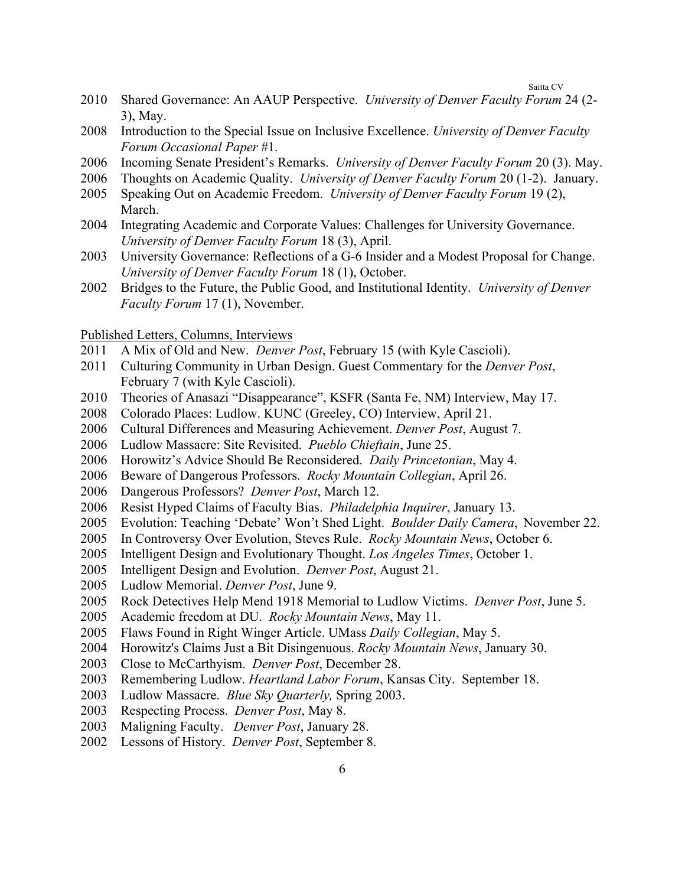- Shared Governance: An AAUP Perspective. *University of Denver Faculty Forum* 24 (2- 3), May.
- Introduction to the Special Issue on Inclusive Excellence. *University of Denver Faculty Forum Occasional Paper* #1.
- Incoming Senate President's Remarks. *University of Denver Faculty Forum* 20 (3). May.
- Thoughts on Academic Quality. *University of Denver Faculty Forum* 20 (1-2). January.
- Speaking Out on Academic Freedom. *University of Denver Faculty Forum* 19 (2), March.
- Integrating Academic and Corporate Values: Challenges for University Governance. *University of Denver Faculty Forum* 18 (3), April.
- University Governance: Reflections of a G-6 Insider and a Modest Proposal for Change. *University of Denver Faculty Forum* 18 (1), October.
- Bridges to the Future, the Public Good, and Institutional Identity. *University of Denver Faculty Forum* 17 (1), November.

#### Published Letters, Columns, Interviews

- A Mix of Old and New. *Denver Post*, February 15 (with Kyle Cascioli).
- Culturing Community in Urban Design. Guest Commentary for the *Denver Post*, February 7 (with Kyle Cascioli).
- Theories of Anasazi "Disappearance", KSFR (Santa Fe, NM) Interview, May 17.
- Colorado Places: Ludlow. KUNC (Greeley, CO) Interview, April 21.
- Cultural Differences and Measuring Achievement. *Denver Post*, August 7.
- Ludlow Massacre: Site Revisited. *Pueblo Chieftain*, June 25.
- Horowitz's Advice Should Be Reconsidered. *Daily Princetonian*, May 4.
- 2006 Beware of Dangerous Professors. *Rocky Mountain Collegian*, April 26.
- Dangerous Professors? *Denver Post*, March 12.
- Resist Hyped Claims of Faculty Bias. *Philadelphia Inquirer*, January 13.
- Evolution: Teaching 'Debate' Won't Shed Light. *Boulder Daily Camera*, November 22.
- In Controversy Over Evolution, Steves Rule. *Rocky Mountain News*, October 6.
- Intelligent Design and Evolutionary Thought. *Los Angeles Times*, October 1.
- Intelligent Design and Evolution. *Denver Post*, August 21.
- Ludlow Memorial. *Denver Post*, June 9.
- Rock Detectives Help Mend 1918 Memorial to Ludlow Victims. *Denver Post*, June 5.
- 2005 Academic freedom at DU. *Rocky Mountain News*, May 11.
- Flaws Found in Right Winger Article. UMass *Daily Collegian*, May 5.
- Horowitz's Claims Just a Bit Disingenuous. *Rocky Mountain News*, January 30.
- 2003 Close to McCarthyism. *Denver Post*, December 28.
- Remembering Ludlow. *Heartland Labor Forum*, Kansas City. September 18.
- Ludlow Massacre. *Blue Sky Quarterly,* Spring 2003.
- Respecting Process. *Denver Post*, May 8.
- Maligning Faculty. *Denver Post*, January 28.
- Lessons of History. *Denver Post*, September 8.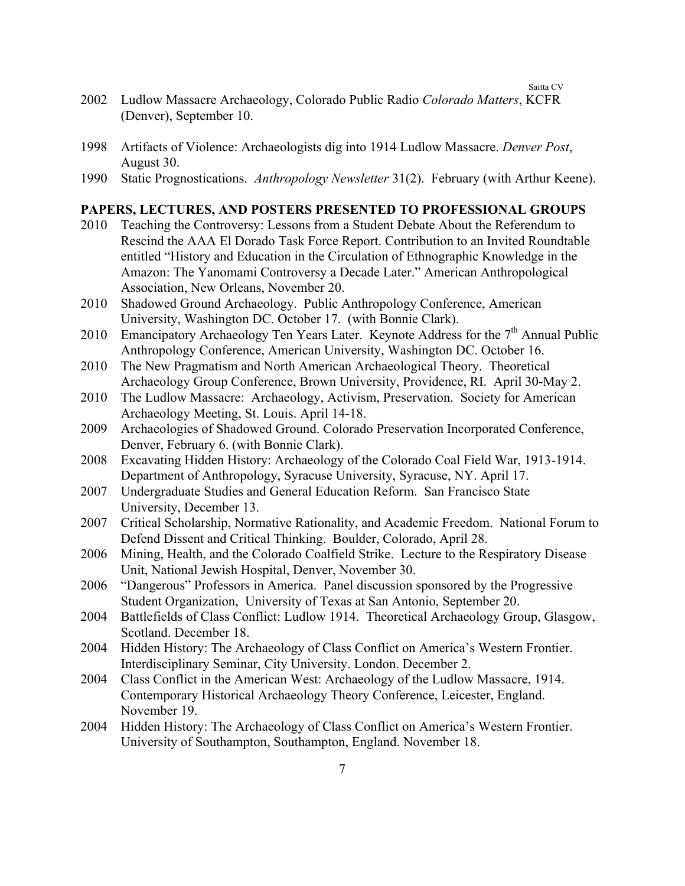- 2002 Ludlow Massacre Archaeology, Colorado Public Radio *Colorado Matters*, KCFR (Denver), September 10.
- 1998 Artifacts of Violence: Archaeologists dig into 1914 Ludlow Massacre. *Denver Post*, August 30.
- 1990 Static Prognostications. *Anthropology Newsletter* 31(2). February (with Arthur Keene).

## **PAPERS, LECTURES, AND POSTERS PRESENTED TO PROFESSIONAL GROUPS**

- 2010 Teaching the Controversy: Lessons from a Student Debate About the Referendum to Rescind the AAA El Dorado Task Force Report. Contribution to an Invited Roundtable entitled "History and Education in the Circulation of Ethnographic Knowledge in the Amazon: The Yanomami Controversy a Decade Later." American Anthropological Association, New Orleans, November 20.
- 2010 Shadowed Ground Archaeology. Public Anthropology Conference, American University, Washington DC. October 17. (with Bonnie Clark).
- 2010 Emancipatory Archaeology Ten Years Later. Keynote Address for the  $7<sup>th</sup>$  Annual Public Anthropology Conference, American University, Washington DC. October 16.
- 2010 The New Pragmatism and North American Archaeological Theory. Theoretical Archaeology Group Conference, Brown University, Providence, RI. April 30-May 2.
- 2010 The Ludlow Massacre: Archaeology, Activism, Preservation. Society for American Archaeology Meeting, St. Louis. April 14-18.
- 2009 Archaeologies of Shadowed Ground. Colorado Preservation Incorporated Conference, Denver, February 6. (with Bonnie Clark).
- 2008 Excavating Hidden History: Archaeology of the Colorado Coal Field War, 1913-1914. Department of Anthropology, Syracuse University, Syracuse, NY. April 17.
- 2007 Undergraduate Studies and General Education Reform. San Francisco State University, December 13.
- 2007 Critical Scholarship, Normative Rationality, and Academic Freedom. National Forum to Defend Dissent and Critical Thinking. Boulder, Colorado, April 28.
- 2006 Mining, Health, and the Colorado Coalfield Strike. Lecture to the Respiratory Disease Unit, National Jewish Hospital, Denver, November 30.
- 2006 "Dangerous" Professors in America. Panel discussion sponsored by the Progressive Student Organization, University of Texas at San Antonio, September 20.
- 2004 Battlefields of Class Conflict: Ludlow 1914. Theoretical Archaeology Group, Glasgow, Scotland. December 18.
- 2004 Hidden History: The Archaeology of Class Conflict on America's Western Frontier. Interdisciplinary Seminar, City University. London. December 2.
- 2004 Class Conflict in the American West: Archaeology of the Ludlow Massacre, 1914. Contemporary Historical Archaeology Theory Conference, Leicester, England. November 19.
- 2004 Hidden History: The Archaeology of Class Conflict on America's Western Frontier. University of Southampton, Southampton, England. November 18.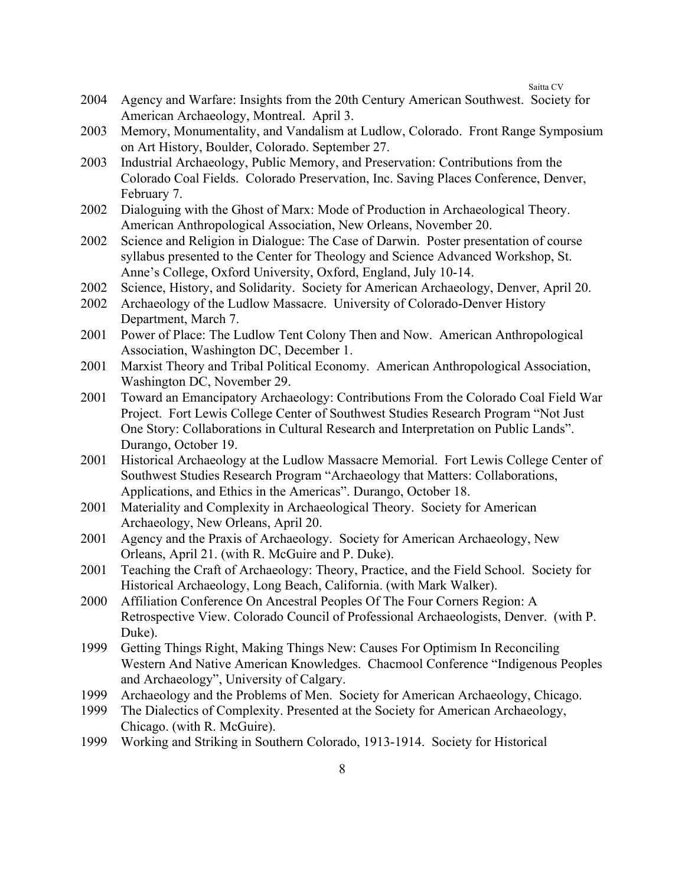- 2004 Agency and Warfare: Insights from the 20th Century American Southwest. Society for American Archaeology, Montreal. April 3.
- 2003 Memory, Monumentality, and Vandalism at Ludlow, Colorado. Front Range Symposium on Art History, Boulder, Colorado. September 27.
- 2003 Industrial Archaeology, Public Memory, and Preservation: Contributions from the Colorado Coal Fields. Colorado Preservation, Inc. Saving Places Conference, Denver, February 7.
- 2002 Dialoguing with the Ghost of Marx: Mode of Production in Archaeological Theory. American Anthropological Association, New Orleans, November 20.
- 2002 Science and Religion in Dialogue: The Case of Darwin. Poster presentation of course syllabus presented to the Center for Theology and Science Advanced Workshop, St. Anne's College, Oxford University, Oxford, England, July 10-14.
- 2002 Science, History, and Solidarity. Society for American Archaeology, Denver, April 20.
- 2002 Archaeology of the Ludlow Massacre. University of Colorado-Denver History Department, March 7.
- 2001 Power of Place: The Ludlow Tent Colony Then and Now. American Anthropological Association, Washington DC, December 1.
- 2001 Marxist Theory and Tribal Political Economy. American Anthropological Association, Washington DC, November 29.
- 2001 Toward an Emancipatory Archaeology: Contributions From the Colorado Coal Field War Project. Fort Lewis College Center of Southwest Studies Research Program "Not Just One Story: Collaborations in Cultural Research and Interpretation on Public Lands". Durango, October 19.
- 2001 Historical Archaeology at the Ludlow Massacre Memorial. Fort Lewis College Center of Southwest Studies Research Program "Archaeology that Matters: Collaborations, Applications, and Ethics in the Americas". Durango, October 18.
- 2001 Materiality and Complexity in Archaeological Theory. Society for American Archaeology, New Orleans, April 20.
- 2001 Agency and the Praxis of Archaeology. Society for American Archaeology, New Orleans, April 21. (with R. McGuire and P. Duke).
- 2001 Teaching the Craft of Archaeology: Theory, Practice, and the Field School. Society for Historical Archaeology, Long Beach, California. (with Mark Walker).
- 2000 Affiliation Conference On Ancestral Peoples Of The Four Corners Region: A Retrospective View. Colorado Council of Professional Archaeologists, Denver. (with P. Duke).
- 1999 Getting Things Right, Making Things New: Causes For Optimism In Reconciling Western And Native American Knowledges. Chacmool Conference "Indigenous Peoples and Archaeology", University of Calgary.
- 1999 Archaeology and the Problems of Men. Society for American Archaeology, Chicago.
- 1999 The Dialectics of Complexity. Presented at the Society for American Archaeology, Chicago. (with R. McGuire).
- 1999 Working and Striking in Southern Colorado, 1913-1914. Society for Historical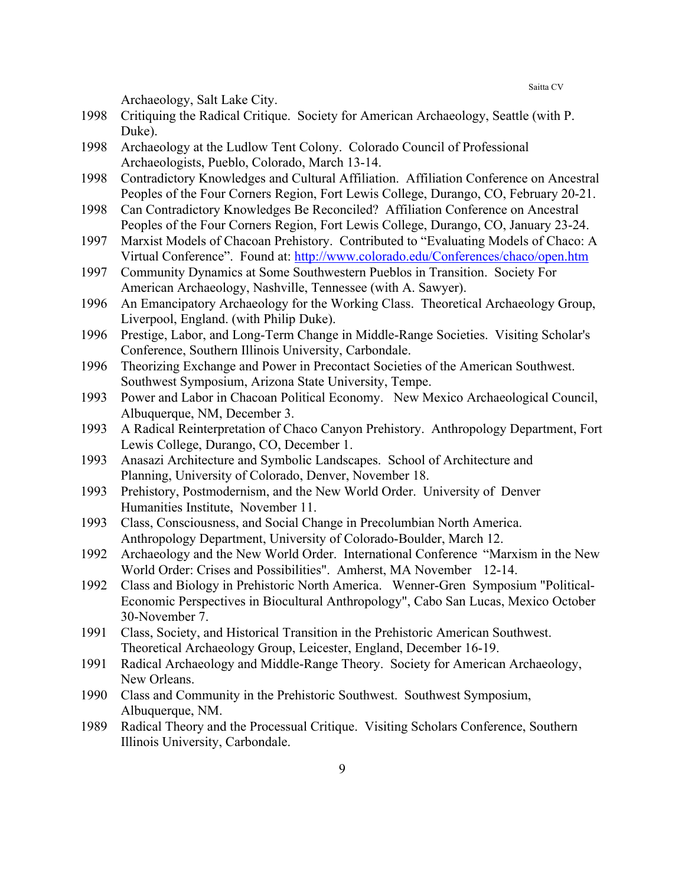Archaeology, Salt Lake City.

- 1998 Critiquing the Radical Critique. Society for American Archaeology, Seattle (with P. Duke).
- 1998 Archaeology at the Ludlow Tent Colony. Colorado Council of Professional Archaeologists, Pueblo, Colorado, March 13-14.
- 1998 Contradictory Knowledges and Cultural Affiliation. Affiliation Conference on Ancestral Peoples of the Four Corners Region, Fort Lewis College, Durango, CO, February 20-21.
- 1998 Can Contradictory Knowledges Be Reconciled? Affiliation Conference on Ancestral Peoples of the Four Corners Region, Fort Lewis College, Durango, CO, January 23-24.
- 1997 Marxist Models of Chacoan Prehistory. Contributed to "Evaluating Models of Chaco: A Virtual Conference". Found at: http://www.colorado.edu/Conferences/chaco/open.htm
- 1997 Community Dynamics at Some Southwestern Pueblos in Transition. Society For American Archaeology, Nashville, Tennessee (with A. Sawyer).
- 1996 An Emancipatory Archaeology for the Working Class. Theoretical Archaeology Group, Liverpool, England. (with Philip Duke).
- 1996 Prestige, Labor, and Long-Term Change in Middle-Range Societies. Visiting Scholar's Conference, Southern Illinois University, Carbondale.
- 1996 Theorizing Exchange and Power in Precontact Societies of the American Southwest. Southwest Symposium, Arizona State University, Tempe.
- 1993 Power and Labor in Chacoan Political Economy. New Mexico Archaeological Council, Albuquerque, NM, December 3.
- 1993 A Radical Reinterpretation of Chaco Canyon Prehistory. Anthropology Department, Fort Lewis College, Durango, CO, December 1.
- 1993 Anasazi Architecture and Symbolic Landscapes. School of Architecture and Planning, University of Colorado, Denver, November 18.
- 1993 Prehistory, Postmodernism, and the New World Order. University of Denver Humanities Institute, November 11.
- 1993 Class, Consciousness, and Social Change in Precolumbian North America. Anthropology Department, University of Colorado-Boulder, March 12.
- 1992 Archaeology and the New World Order. International Conference "Marxism in the New World Order: Crises and Possibilities". Amherst, MA November 12-14.
- 1992 Class and Biology in Prehistoric North America. Wenner-Gren Symposium "Political-Economic Perspectives in Biocultural Anthropology", Cabo San Lucas, Mexico October 30-November 7.
- 1991 Class, Society, and Historical Transition in the Prehistoric American Southwest. Theoretical Archaeology Group, Leicester, England, December 16-19.
- 1991 Radical Archaeology and Middle-Range Theory. Society for American Archaeology, New Orleans.
- 1990 Class and Community in the Prehistoric Southwest. Southwest Symposium, Albuquerque, NM.
- 1989 Radical Theory and the Processual Critique. Visiting Scholars Conference, Southern Illinois University, Carbondale.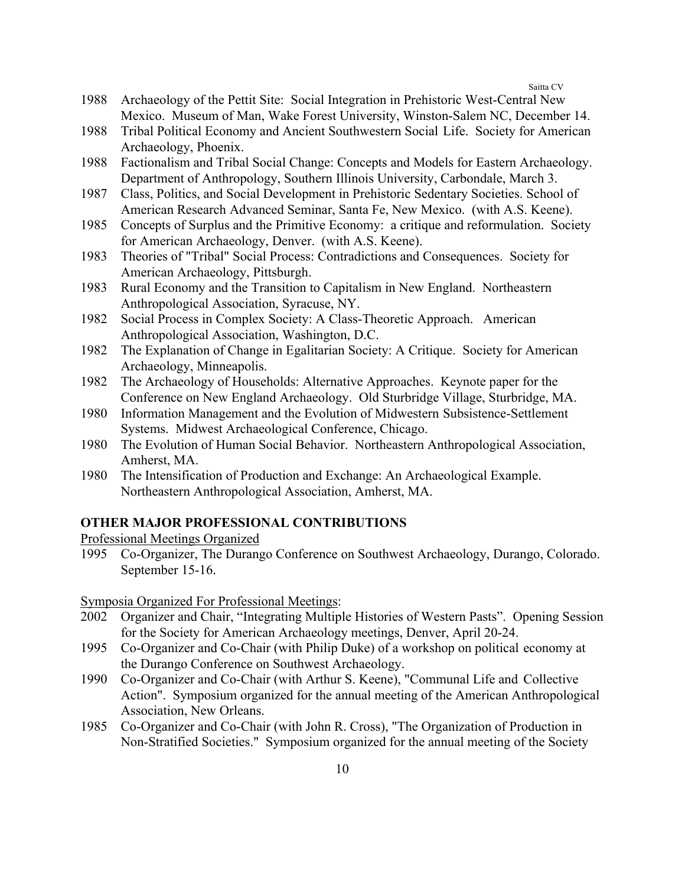- 1988 Archaeology of the Pettit Site: Social Integration in Prehistoric West-Central New Mexico. Museum of Man, Wake Forest University, Winston-Salem NC, December 14.
- 1988 Tribal Political Economy and Ancient Southwestern Social Life. Society for American Archaeology, Phoenix.
- 1988 Factionalism and Tribal Social Change: Concepts and Models for Eastern Archaeology. Department of Anthropology, Southern Illinois University, Carbondale, March 3.
- 1987 Class, Politics, and Social Development in Prehistoric Sedentary Societies. School of American Research Advanced Seminar, Santa Fe, New Mexico. (with A.S. Keene).
- 1985 Concepts of Surplus and the Primitive Economy: a critique and reformulation. Society for American Archaeology, Denver. (with A.S. Keene).
- 1983 Theories of "Tribal" Social Process: Contradictions and Consequences. Society for American Archaeology, Pittsburgh.
- 1983 Rural Economy and the Transition to Capitalism in New England. Northeastern Anthropological Association, Syracuse, NY.
- 1982 Social Process in Complex Society: A Class-Theoretic Approach. American Anthropological Association, Washington, D.C.
- 1982 The Explanation of Change in Egalitarian Society: A Critique. Society for American Archaeology, Minneapolis.
- 1982 The Archaeology of Households: Alternative Approaches. Keynote paper for the Conference on New England Archaeology. Old Sturbridge Village, Sturbridge, MA.
- 1980 Information Management and the Evolution of Midwestern Subsistence-Settlement Systems. Midwest Archaeological Conference, Chicago.
- 1980 The Evolution of Human Social Behavior. Northeastern Anthropological Association, Amherst, MA.
- 1980 The Intensification of Production and Exchange: An Archaeological Example. Northeastern Anthropological Association, Amherst, MA.

## **OTHER MAJOR PROFESSIONAL CONTRIBUTIONS**

Professional Meetings Organized

1995 Co-Organizer, The Durango Conference on Southwest Archaeology, Durango, Colorado. September 15-16.

Symposia Organized For Professional Meetings:

- 2002 Organizer and Chair, "Integrating Multiple Histories of Western Pasts". Opening Session for the Society for American Archaeology meetings, Denver, April 20-24.
- 1995 Co-Organizer and Co-Chair (with Philip Duke) of a workshop on political economy at the Durango Conference on Southwest Archaeology.
- 1990 Co-Organizer and Co-Chair (with Arthur S. Keene), "Communal Life and Collective Action". Symposium organized for the annual meeting of the American Anthropological Association, New Orleans.
- 1985 Co-Organizer and Co-Chair (with John R. Cross), "The Organization of Production in Non-Stratified Societies." Symposium organized for the annual meeting of the Society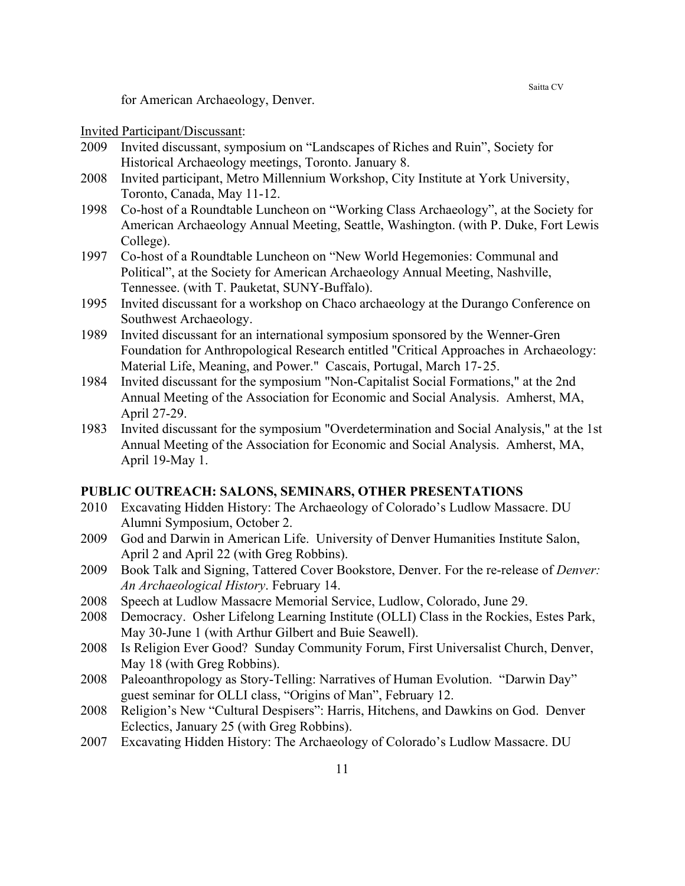for American Archaeology, Denver.

## Invited Participant/Discussant:

- 2009 Invited discussant, symposium on "Landscapes of Riches and Ruin", Society for Historical Archaeology meetings, Toronto. January 8.
- 2008 Invited participant, Metro Millennium Workshop, City Institute at York University, Toronto, Canada, May 11-12.
- 1998 Co-host of a Roundtable Luncheon on "Working Class Archaeology", at the Society for American Archaeology Annual Meeting, Seattle, Washington. (with P. Duke, Fort Lewis College).
- 1997 Co-host of a Roundtable Luncheon on "New World Hegemonies: Communal and Political", at the Society for American Archaeology Annual Meeting, Nashville, Tennessee. (with T. Pauketat, SUNY-Buffalo).
- 1995 Invited discussant for a workshop on Chaco archaeology at the Durango Conference on Southwest Archaeology.
- 1989 Invited discussant for an international symposium sponsored by the Wenner-Gren Foundation for Anthropological Research entitled "Critical Approaches in Archaeology: Material Life, Meaning, and Power." Cascais, Portugal, March 17-25.
- 1984 Invited discussant for the symposium "Non-Capitalist Social Formations," at the 2nd Annual Meeting of the Association for Economic and Social Analysis. Amherst, MA, April 27-29.
- 1983 Invited discussant for the symposium "Overdetermination and Social Analysis," at the 1st Annual Meeting of the Association for Economic and Social Analysis. Amherst, MA, April 19-May 1.

#### **PUBLIC OUTREACH: SALONS, SEMINARS, OTHER PRESENTATIONS**

- 2010 Excavating Hidden History: The Archaeology of Colorado's Ludlow Massacre. DU Alumni Symposium, October 2.
- 2009 God and Darwin in American Life. University of Denver Humanities Institute Salon, April 2 and April 22 (with Greg Robbins).
- 2009 Book Talk and Signing, Tattered Cover Bookstore, Denver. For the re-release of *Denver: An Archaeological History*. February 14.
- 2008 Speech at Ludlow Massacre Memorial Service, Ludlow, Colorado, June 29.
- 2008 Democracy. Osher Lifelong Learning Institute (OLLI) Class in the Rockies, Estes Park, May 30-June 1 (with Arthur Gilbert and Buie Seawell).
- 2008 Is Religion Ever Good? Sunday Community Forum, First Universalist Church, Denver, May 18 (with Greg Robbins).
- 2008 Paleoanthropology as Story-Telling: Narratives of Human Evolution. "Darwin Day" guest seminar for OLLI class, "Origins of Man", February 12.
- 2008 Religion's New "Cultural Despisers": Harris, Hitchens, and Dawkins on God. Denver Eclectics, January 25 (with Greg Robbins).
- 2007 Excavating Hidden History: The Archaeology of Colorado's Ludlow Massacre. DU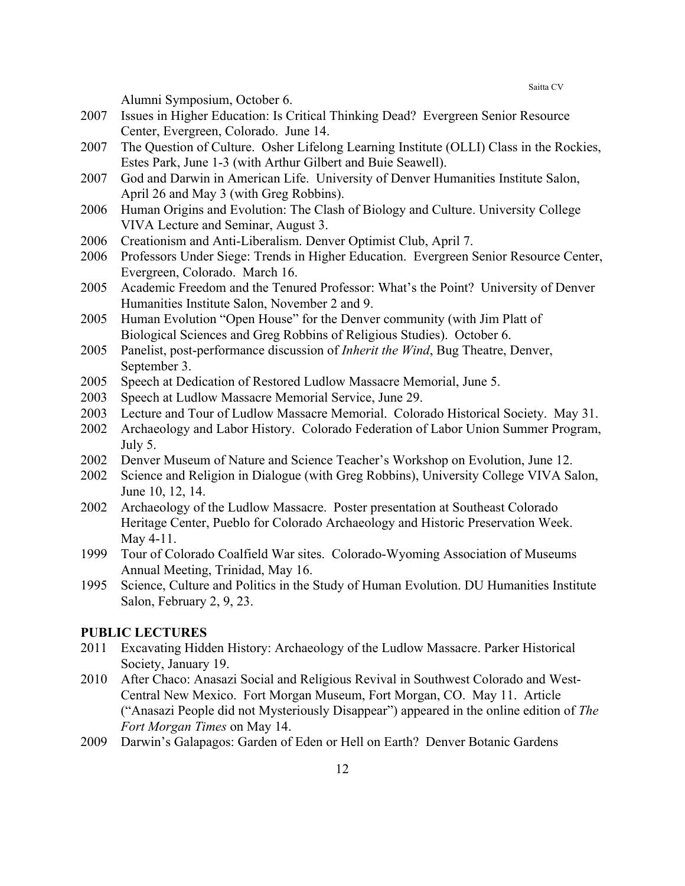Alumni Symposium, October 6.

- 2007 Issues in Higher Education: Is Critical Thinking Dead? Evergreen Senior Resource Center, Evergreen, Colorado. June 14.
- 2007 The Question of Culture. Osher Lifelong Learning Institute (OLLI) Class in the Rockies, Estes Park, June 1-3 (with Arthur Gilbert and Buie Seawell).
- 2007 God and Darwin in American Life. University of Denver Humanities Institute Salon, April 26 and May 3 (with Greg Robbins).
- 2006 Human Origins and Evolution: The Clash of Biology and Culture. University College VIVA Lecture and Seminar, August 3.
- 2006 Creationism and Anti-Liberalism. Denver Optimist Club, April 7.
- 2006 Professors Under Siege: Trends in Higher Education. Evergreen Senior Resource Center, Evergreen, Colorado. March 16.
- 2005 Academic Freedom and the Tenured Professor: What's the Point? University of Denver Humanities Institute Salon, November 2 and 9.
- 2005 Human Evolution "Open House" for the Denver community (with Jim Platt of Biological Sciences and Greg Robbins of Religious Studies). October 6.
- 2005 Panelist, post-performance discussion of *Inherit the Wind*, Bug Theatre, Denver, September 3.
- 2005 Speech at Dedication of Restored Ludlow Massacre Memorial, June 5.
- 2003 Speech at Ludlow Massacre Memorial Service, June 29.
- 2003 Lecture and Tour of Ludlow Massacre Memorial. Colorado Historical Society. May 31.
- 2002 Archaeology and Labor History. Colorado Federation of Labor Union Summer Program, July 5.
- 2002 Denver Museum of Nature and Science Teacher's Workshop on Evolution, June 12.
- 2002 Science and Religion in Dialogue (with Greg Robbins), University College VIVA Salon, June 10, 12, 14.
- 2002 Archaeology of the Ludlow Massacre. Poster presentation at Southeast Colorado Heritage Center, Pueblo for Colorado Archaeology and Historic Preservation Week. May 4-11.
- 1999 Tour of Colorado Coalfield War sites. Colorado-Wyoming Association of Museums Annual Meeting, Trinidad, May 16.
- 1995 Science, Culture and Politics in the Study of Human Evolution. DU Humanities Institute Salon, February 2, 9, 23.

## **PUBLIC LECTURES**

- 2011 Excavating Hidden History: Archaeology of the Ludlow Massacre. Parker Historical Society, January 19.
- 2010 After Chaco: Anasazi Social and Religious Revival in Southwest Colorado and West-Central New Mexico. Fort Morgan Museum, Fort Morgan, CO. May 11. Article ("Anasazi People did not Mysteriously Disappear") appeared in the online edition of *The Fort Morgan Times* on May 14.
- 2009 Darwin's Galapagos: Garden of Eden or Hell on Earth? Denver Botanic Gardens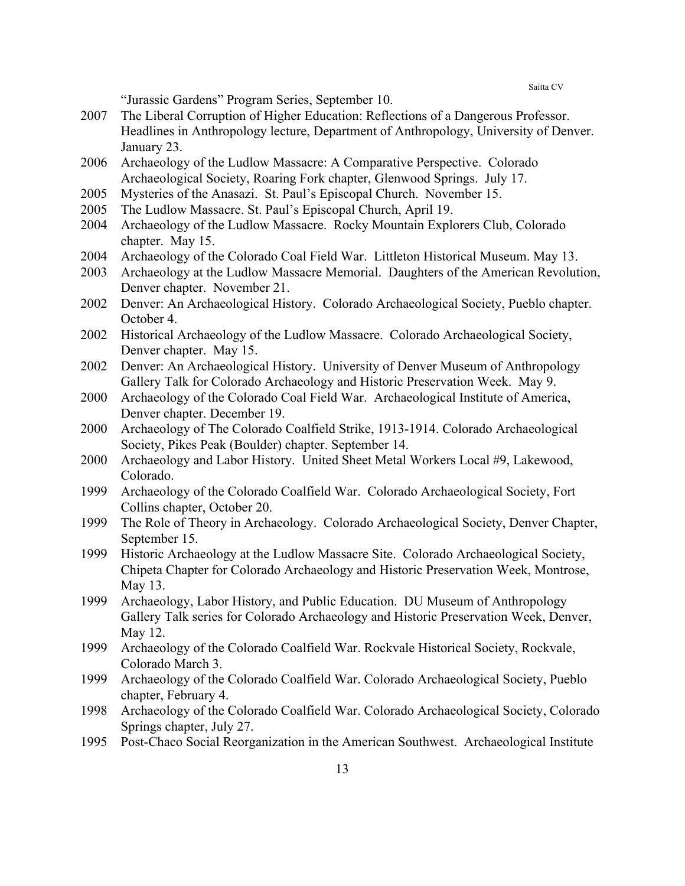"Jurassic Gardens" Program Series, September 10.

- 2007 The Liberal Corruption of Higher Education: Reflections of a Dangerous Professor. Headlines in Anthropology lecture, Department of Anthropology, University of Denver. January 23.
- 2006 Archaeology of the Ludlow Massacre: A Comparative Perspective. Colorado Archaeological Society, Roaring Fork chapter, Glenwood Springs. July 17.
- 2005 Mysteries of the Anasazi. St. Paul's Episcopal Church. November 15.
- 2005 The Ludlow Massacre. St. Paul's Episcopal Church, April 19.
- 2004 Archaeology of the Ludlow Massacre. Rocky Mountain Explorers Club, Colorado chapter. May 15.
- 2004 Archaeology of the Colorado Coal Field War. Littleton Historical Museum. May 13.
- 2003 Archaeology at the Ludlow Massacre Memorial. Daughters of the American Revolution, Denver chapter. November 21.
- 2002 Denver: An Archaeological History. Colorado Archaeological Society, Pueblo chapter. October 4.
- 2002 Historical Archaeology of the Ludlow Massacre. Colorado Archaeological Society, Denver chapter. May 15.
- 2002 Denver: An Archaeological History. University of Denver Museum of Anthropology Gallery Talk for Colorado Archaeology and Historic Preservation Week. May 9.
- 2000 Archaeology of the Colorado Coal Field War. Archaeological Institute of America, Denver chapter. December 19.
- 2000 Archaeology of The Colorado Coalfield Strike, 1913-1914. Colorado Archaeological Society, Pikes Peak (Boulder) chapter. September 14.
- 2000 Archaeology and Labor History. United Sheet Metal Workers Local #9, Lakewood, Colorado.
- 1999 Archaeology of the Colorado Coalfield War. Colorado Archaeological Society, Fort Collins chapter, October 20.
- 1999 The Role of Theory in Archaeology. Colorado Archaeological Society, Denver Chapter, September 15.
- 1999 Historic Archaeology at the Ludlow Massacre Site. Colorado Archaeological Society, Chipeta Chapter for Colorado Archaeology and Historic Preservation Week, Montrose, May 13.
- 1999 Archaeology, Labor History, and Public Education. DU Museum of Anthropology Gallery Talk series for Colorado Archaeology and Historic Preservation Week, Denver, May 12.
- 1999 Archaeology of the Colorado Coalfield War. Rockvale Historical Society, Rockvale, Colorado March 3.
- 1999 Archaeology of the Colorado Coalfield War. Colorado Archaeological Society, Pueblo chapter, February 4.
- 1998 Archaeology of the Colorado Coalfield War. Colorado Archaeological Society, Colorado Springs chapter, July 27.
- 1995 Post-Chaco Social Reorganization in the American Southwest. Archaeological Institute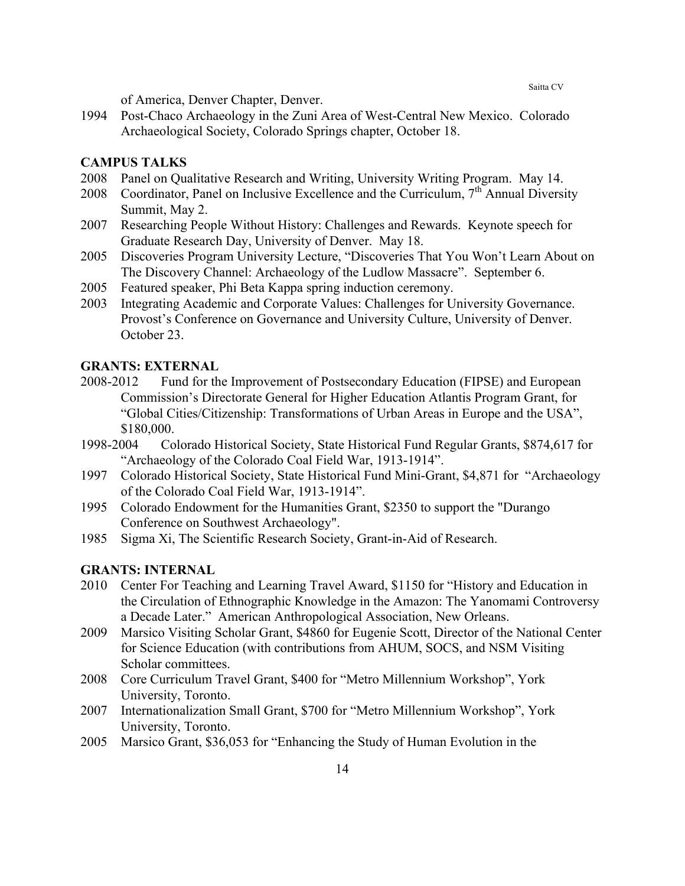of America, Denver Chapter, Denver.

1994 Post-Chaco Archaeology in the Zuni Area of West-Central New Mexico. Colorado Archaeological Society, Colorado Springs chapter, October 18.

## **CAMPUS TALKS**

- 2008 Panel on Qualitative Research and Writing, University Writing Program. May 14.
- 2008 Coordinator, Panel on Inclusive Excellence and the Curriculum,  $7<sup>th</sup>$  Annual Diversity Summit, May 2.
- 2007 Researching People Without History: Challenges and Rewards. Keynote speech for Graduate Research Day, University of Denver. May 18.
- 2005 Discoveries Program University Lecture, "Discoveries That You Won't Learn About on The Discovery Channel: Archaeology of the Ludlow Massacre". September 6.
- 2005 Featured speaker, Phi Beta Kappa spring induction ceremony.
- 2003 Integrating Academic and Corporate Values: Challenges for University Governance. Provost's Conference on Governance and University Culture, University of Denver. October 23.

## **GRANTS: EXTERNAL**

- 2008-2012 Fund for the Improvement of Postsecondary Education (FIPSE) and European Commission's Directorate General for Higher Education Atlantis Program Grant, for "Global Cities/Citizenship: Transformations of Urban Areas in Europe and the USA", \$180,000.
- 1998-2004 Colorado Historical Society, State Historical Fund Regular Grants, \$874,617 for "Archaeology of the Colorado Coal Field War, 1913-1914".
- 1997 Colorado Historical Society, State Historical Fund Mini-Grant, \$4,871 for "Archaeology of the Colorado Coal Field War, 1913-1914".
- 1995 Colorado Endowment for the Humanities Grant, \$2350 to support the "Durango Conference on Southwest Archaeology".
- 1985 Sigma Xi, The Scientific Research Society, Grant-in-Aid of Research.

## **GRANTS: INTERNAL**

- 2010 Center For Teaching and Learning Travel Award, \$1150 for "History and Education in the Circulation of Ethnographic Knowledge in the Amazon: The Yanomami Controversy a Decade Later." American Anthropological Association, New Orleans.
- 2009 Marsico Visiting Scholar Grant, \$4860 for Eugenie Scott, Director of the National Center for Science Education (with contributions from AHUM, SOCS, and NSM Visiting Scholar committees.
- 2008 Core Curriculum Travel Grant, \$400 for "Metro Millennium Workshop", York University, Toronto.
- 2007 Internationalization Small Grant, \$700 for "Metro Millennium Workshop", York University, Toronto.
- 2005 Marsico Grant, \$36,053 for "Enhancing the Study of Human Evolution in the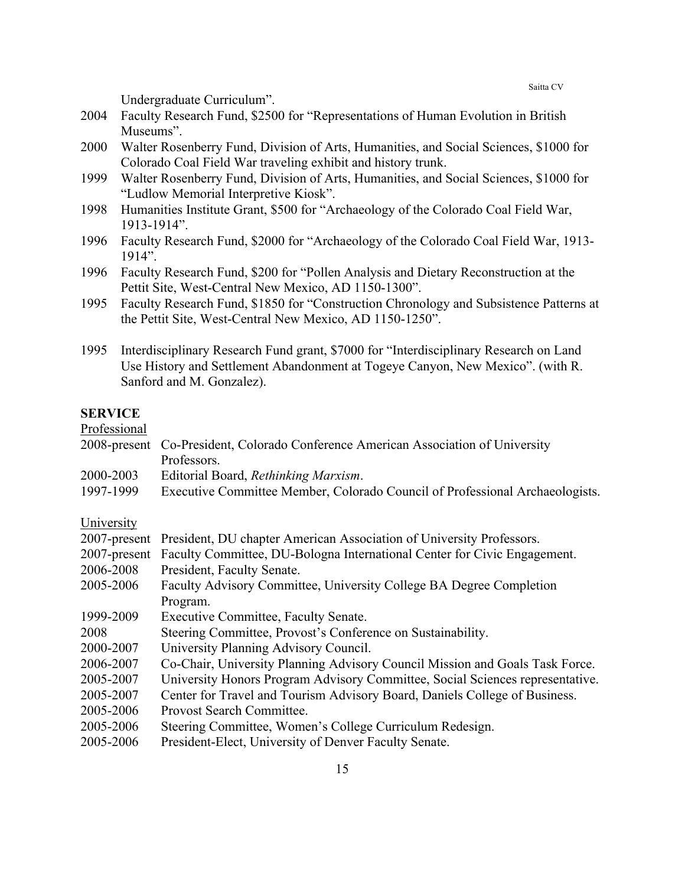Undergraduate Curriculum".

- 2004 Faculty Research Fund, \$2500 for "Representations of Human Evolution in British Museums".
- 2000 Walter Rosenberry Fund, Division of Arts, Humanities, and Social Sciences, \$1000 for Colorado Coal Field War traveling exhibit and history trunk.
- 1999 Walter Rosenberry Fund, Division of Arts, Humanities, and Social Sciences, \$1000 for "Ludlow Memorial Interpretive Kiosk".
- 1998 Humanities Institute Grant, \$500 for "Archaeology of the Colorado Coal Field War, 1913-1914".
- 1996 Faculty Research Fund, \$2000 for "Archaeology of the Colorado Coal Field War, 1913- 1914".
- 1996 Faculty Research Fund, \$200 for "Pollen Analysis and Dietary Reconstruction at the Pettit Site, West-Central New Mexico, AD 1150-1300".
- 1995 Faculty Research Fund, \$1850 for "Construction Chronology and Subsistence Patterns at the Pettit Site, West-Central New Mexico, AD 1150-1250".
- 1995 Interdisciplinary Research Fund grant, \$7000 for "Interdisciplinary Research on Land Use History and Settlement Abandonment at Togeye Canyon, New Mexico". (with R. Sanford and M. Gonzalez).

## **SERVICE**

Professional

- 2008-present Co-President, Colorado Conference American Association of University Professors.
- 2000-2003 Editorial Board, *Rethinking Marxism*.
- 1997-1999 Executive Committee Member, Colorado Council of Professional Archaeologists.

### University

|           | 2007-present President, DU chapter American Association of University Professors.     |
|-----------|---------------------------------------------------------------------------------------|
|           | 2007-present Faculty Committee, DU-Bologna International Center for Civic Engagement. |
| 2006-2008 | President, Faculty Senate.                                                            |
| 2005-2006 | Faculty Advisory Committee, University College BA Degree Completion                   |
|           | Program.                                                                              |
| 1999-2009 | <b>Executive Committee, Faculty Senate.</b>                                           |
| 2008      | Steering Committee, Provost's Conference on Sustainability.                           |
| 2000-2007 | University Planning Advisory Council.                                                 |
| 2006-2007 | Co-Chair, University Planning Advisory Council Mission and Goals Task Force.          |
| 2005-2007 | University Honors Program Advisory Committee, Social Sciences representative.         |
| 2005-2007 | Center for Travel and Tourism Advisory Board, Daniels College of Business.            |
| 2005-2006 | Provost Search Committee.                                                             |
| 2005-2006 | Steering Committee, Women's College Curriculum Redesign.                              |
| 2005-2006 | President-Elect, University of Denver Faculty Senate.                                 |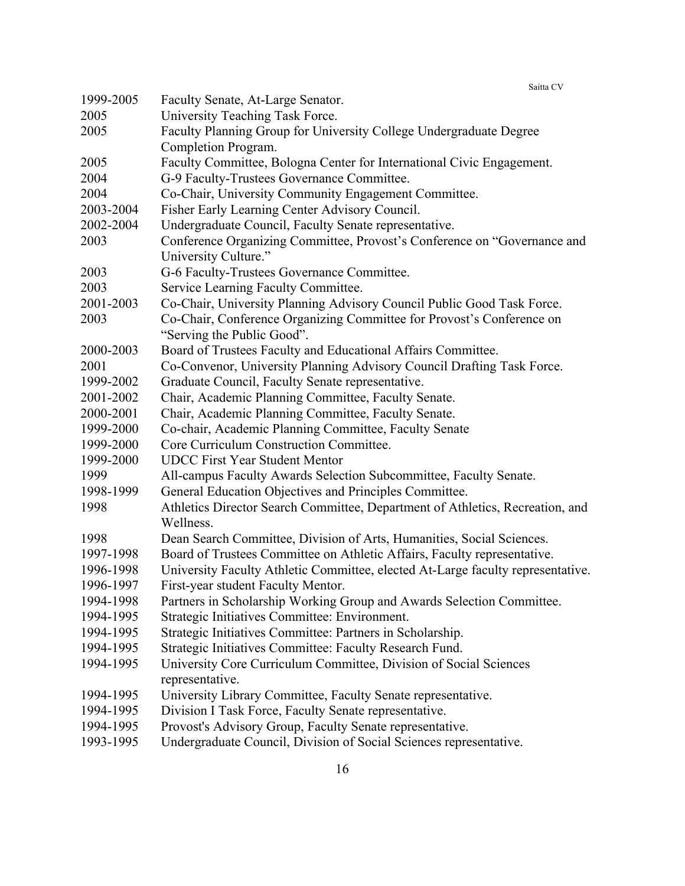| 1999-2005 | Faculty Senate, At-Large Senator.                                               |
|-----------|---------------------------------------------------------------------------------|
| 2005      | University Teaching Task Force.                                                 |
| 2005      | Faculty Planning Group for University College Undergraduate Degree              |
|           | Completion Program.                                                             |
| 2005      | Faculty Committee, Bologna Center for International Civic Engagement.           |
| 2004      | G-9 Faculty-Trustees Governance Committee.                                      |
| 2004      | Co-Chair, University Community Engagement Committee.                            |
| 2003-2004 | Fisher Early Learning Center Advisory Council.                                  |
| 2002-2004 | Undergraduate Council, Faculty Senate representative.                           |
| 2003      | Conference Organizing Committee, Provost's Conference on "Governance and        |
|           | University Culture."                                                            |
| 2003      | G-6 Faculty-Trustees Governance Committee.                                      |
| 2003      | Service Learning Faculty Committee.                                             |
| 2001-2003 | Co-Chair, University Planning Advisory Council Public Good Task Force.          |
| 2003      | Co-Chair, Conference Organizing Committee for Provost's Conference on           |
|           | "Serving the Public Good".                                                      |
| 2000-2003 | Board of Trustees Faculty and Educational Affairs Committee.                    |
| 2001      | Co-Convenor, University Planning Advisory Council Drafting Task Force.          |
| 1999-2002 | Graduate Council, Faculty Senate representative.                                |
| 2001-2002 | Chair, Academic Planning Committee, Faculty Senate.                             |
| 2000-2001 | Chair, Academic Planning Committee, Faculty Senate.                             |
| 1999-2000 | Co-chair, Academic Planning Committee, Faculty Senate                           |
| 1999-2000 | Core Curriculum Construction Committee.                                         |
| 1999-2000 | <b>UDCC First Year Student Mentor</b>                                           |
| 1999      | All-campus Faculty Awards Selection Subcommittee, Faculty Senate.               |
| 1998-1999 | General Education Objectives and Principles Committee.                          |
| 1998      | Athletics Director Search Committee, Department of Athletics, Recreation, and   |
|           | Wellness.                                                                       |
| 1998      | Dean Search Committee, Division of Arts, Humanities, Social Sciences.           |
| 1997-1998 | Board of Trustees Committee on Athletic Affairs, Faculty representative.        |
| 1996-1998 | University Faculty Athletic Committee, elected At-Large faculty representative. |
| 1996-1997 | First-year student Faculty Mentor.                                              |
| 1994-1998 | Partners in Scholarship Working Group and Awards Selection Committee.           |
| 1994-1995 | Strategic Initiatives Committee: Environment.                                   |
| 1994-1995 | Strategic Initiatives Committee: Partners in Scholarship.                       |
| 1994-1995 | Strategic Initiatives Committee: Faculty Research Fund.                         |
| 1994-1995 | University Core Curriculum Committee, Division of Social Sciences               |
|           | representative.                                                                 |
| 1994-1995 | University Library Committee, Faculty Senate representative.                    |
| 1994-1995 | Division I Task Force, Faculty Senate representative.                           |
| 1994-1995 | Provost's Advisory Group, Faculty Senate representative.                        |
| 1993-1995 | <b>Indergraduate Council Division of Social Sciences representative</b>         |

1993-1995 Undergraduate Council, Division of Social Sciences representative.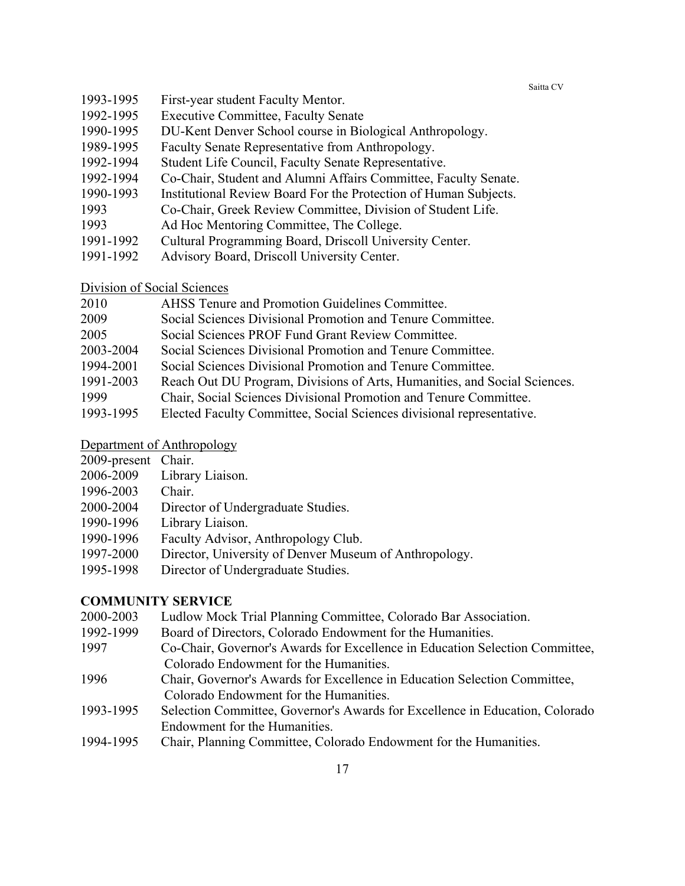- 1993-1995 First-year student Faculty Mentor.
- 1992-1995 Executive Committee, Faculty Senate
- 1990-1995 DU-Kent Denver School course in Biological Anthropology.
- 1989-1995 Faculty Senate Representative from Anthropology.
- 1992-1994 Student Life Council, Faculty Senate Representative.
- 1992-1994 Co-Chair, Student and Alumni Affairs Committee, Faculty Senate.
- 1990-1993 Institutional Review Board For the Protection of Human Subjects.
- 1993 Co-Chair, Greek Review Committee, Division of Student Life.
- 1993 Ad Hoc Mentoring Committee, The College.
- 1991-1992 Cultural Programming Board, Driscoll University Center.
- 1991-1992 Advisory Board, Driscoll University Center.

Division of Social Sciences

| 2010      | AHSS Tenure and Promotion Guidelines Committee.                           |
|-----------|---------------------------------------------------------------------------|
| 2009      | Social Sciences Divisional Promotion and Tenure Committee.                |
| 2005      | Social Sciences PROF Fund Grant Review Committee.                         |
| 2003-2004 | Social Sciences Divisional Promotion and Tenure Committee.                |
| 1994-2001 | Social Sciences Divisional Promotion and Tenure Committee.                |
| 1991-2003 | Reach Out DU Program, Divisions of Arts, Humanities, and Social Sciences. |
| 1000      |                                                                           |

- 1999 Chair, Social Sciences Divisional Promotion and Tenure Committee.
- 1993-1995 Elected Faculty Committee, Social Sciences divisional representative.

## Department of Anthropology

- 2009-present Chair.
- 2006-2009 Library Liaison.
- 1996-2003 Chair.
- 2000-2004 Director of Undergraduate Studies.
- 1990-1996 Library Liaison.
- 1990-1996 Faculty Advisor, Anthropology Club.
- 1997-2000 Director, University of Denver Museum of Anthropology.
- 1995-1998 Director of Undergraduate Studies.

## **COMMUNITY SERVICE**

- 2000-2003 Ludlow Mock Trial Planning Committee, Colorado Bar Association.
- 1992-1999 Board of Directors, Colorado Endowment for the Humanities.
- 1997 Co-Chair, Governor's Awards for Excellence in Education Selection Committee, Colorado Endowment for the Humanities.
- 1996 Chair, Governor's Awards for Excellence in Education Selection Committee, Colorado Endowment for the Humanities.
- 1993-1995 Selection Committee, Governor's Awards for Excellence in Education, Colorado Endowment for the Humanities.
- 1994-1995 Chair, Planning Committee, Colorado Endowment for the Humanities.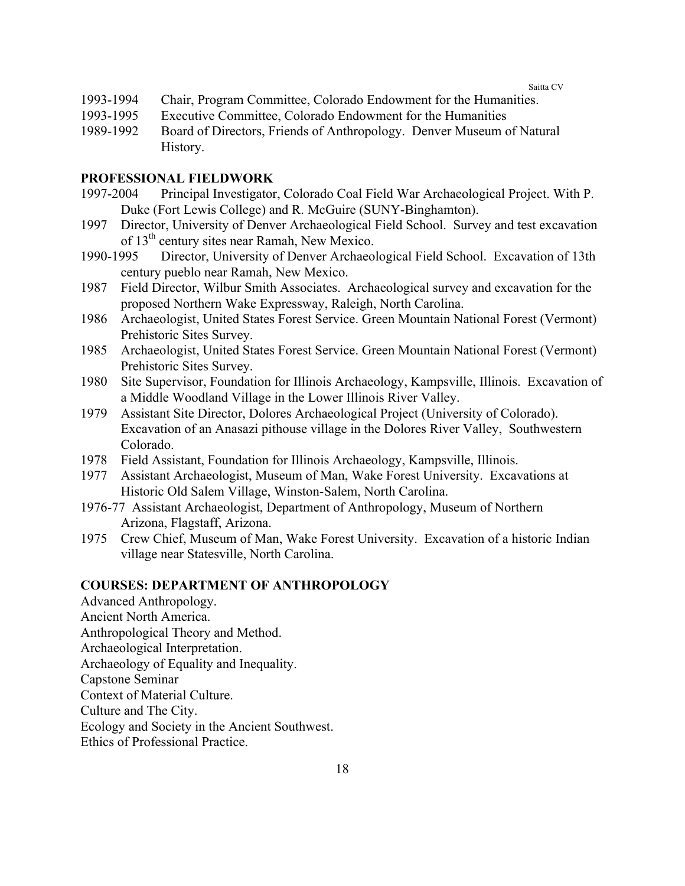- 1993-1994 Chair, Program Committee, Colorado Endowment for the Humanities.
- 1993-1995 Executive Committee, Colorado Endowment for the Humanities
- 1989-1992 Board of Directors, Friends of Anthropology. Denver Museum of Natural History.

## **PROFESSIONAL FIELDWORK**

- 1997-2004 Principal Investigator, Colorado Coal Field War Archaeological Project. With P. Duke (Fort Lewis College) and R. McGuire (SUNY-Binghamton).
- 1997 Director, University of Denver Archaeological Field School. Survey and test excavation of 13<sup>th</sup> century sites near Ramah, New Mexico.
- 1990-1995 Director, University of Denver Archaeological Field School. Excavation of 13th century pueblo near Ramah, New Mexico.
- 1987 Field Director, Wilbur Smith Associates. Archaeological survey and excavation for the proposed Northern Wake Expressway, Raleigh, North Carolina.
- 1986 Archaeologist, United States Forest Service. Green Mountain National Forest (Vermont) Prehistoric Sites Survey.
- 1985 Archaeologist, United States Forest Service. Green Mountain National Forest (Vermont) Prehistoric Sites Survey.
- 1980 Site Supervisor, Foundation for Illinois Archaeology, Kampsville, Illinois. Excavation of a Middle Woodland Village in the Lower Illinois River Valley.
- 1979 Assistant Site Director, Dolores Archaeological Project (University of Colorado). Excavation of an Anasazi pithouse village in the Dolores River Valley, Southwestern Colorado.
- 1978 Field Assistant, Foundation for Illinois Archaeology, Kampsville, Illinois.
- 1977 Assistant Archaeologist, Museum of Man, Wake Forest University. Excavations at Historic Old Salem Village, Winston-Salem, North Carolina.
- 1976-77 Assistant Archaeologist, Department of Anthropology, Museum of Northern Arizona, Flagstaff, Arizona.
- 1975 Crew Chief, Museum of Man, Wake Forest University. Excavation of a historic Indian village near Statesville, North Carolina.

## **COURSES: DEPARTMENT OF ANTHROPOLOGY**

Advanced Anthropology. Ancient North America. Anthropological Theory and Method. Archaeological Interpretation. Archaeology of Equality and Inequality. Capstone Seminar Context of Material Culture. Culture and The City. Ecology and Society in the Ancient Southwest. Ethics of Professional Practice.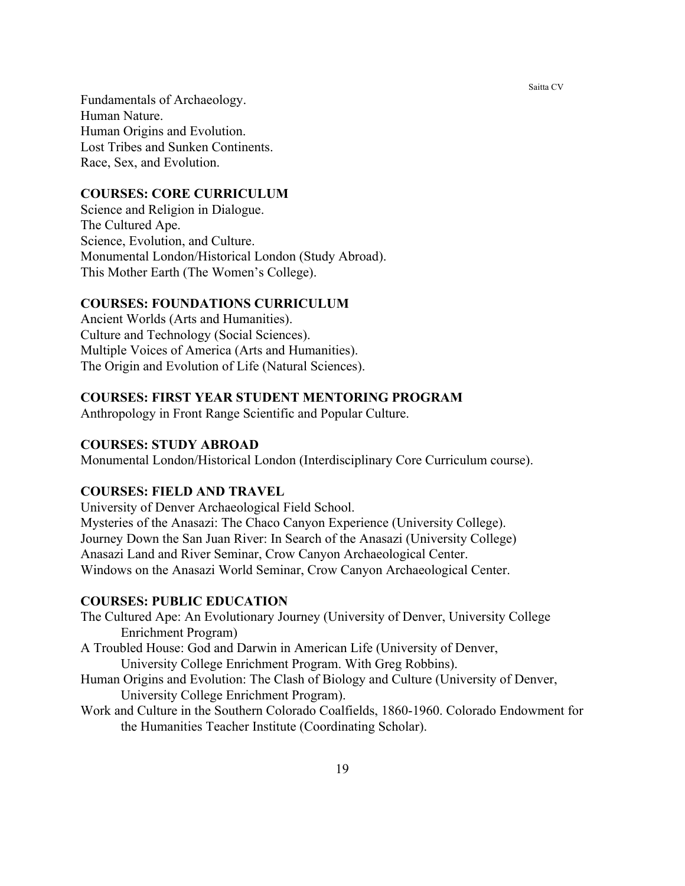Fundamentals of Archaeology. Human Nature. Human Origins and Evolution. Lost Tribes and Sunken Continents. Race, Sex, and Evolution.

## **COURSES: CORE CURRICULUM**

Science and Religion in Dialogue. The Cultured Ape. Science, Evolution, and Culture. Monumental London/Historical London (Study Abroad). This Mother Earth (The Women's College).

## **COURSES: FOUNDATIONS CURRICULUM**

Ancient Worlds (Arts and Humanities). Culture and Technology (Social Sciences). Multiple Voices of America (Arts and Humanities). The Origin and Evolution of Life (Natural Sciences).

## **COURSES: FIRST YEAR STUDENT MENTORING PROGRAM**

Anthropology in Front Range Scientific and Popular Culture.

## **COURSES: STUDY ABROAD**

Monumental London/Historical London (Interdisciplinary Core Curriculum course).

#### **COURSES: FIELD AND TRAVEL**

University of Denver Archaeological Field School. Mysteries of the Anasazi: The Chaco Canyon Experience (University College). Journey Down the San Juan River: In Search of the Anasazi (University College) Anasazi Land and River Seminar, Crow Canyon Archaeological Center. Windows on the Anasazi World Seminar, Crow Canyon Archaeological Center.

#### **COURSES: PUBLIC EDUCATION**

The Cultured Ape: An Evolutionary Journey (University of Denver, University College Enrichment Program)

- A Troubled House: God and Darwin in American Life (University of Denver, University College Enrichment Program. With Greg Robbins).
- Human Origins and Evolution: The Clash of Biology and Culture (University of Denver, University College Enrichment Program).
- Work and Culture in the Southern Colorado Coalfields, 1860-1960. Colorado Endowment for the Humanities Teacher Institute (Coordinating Scholar).